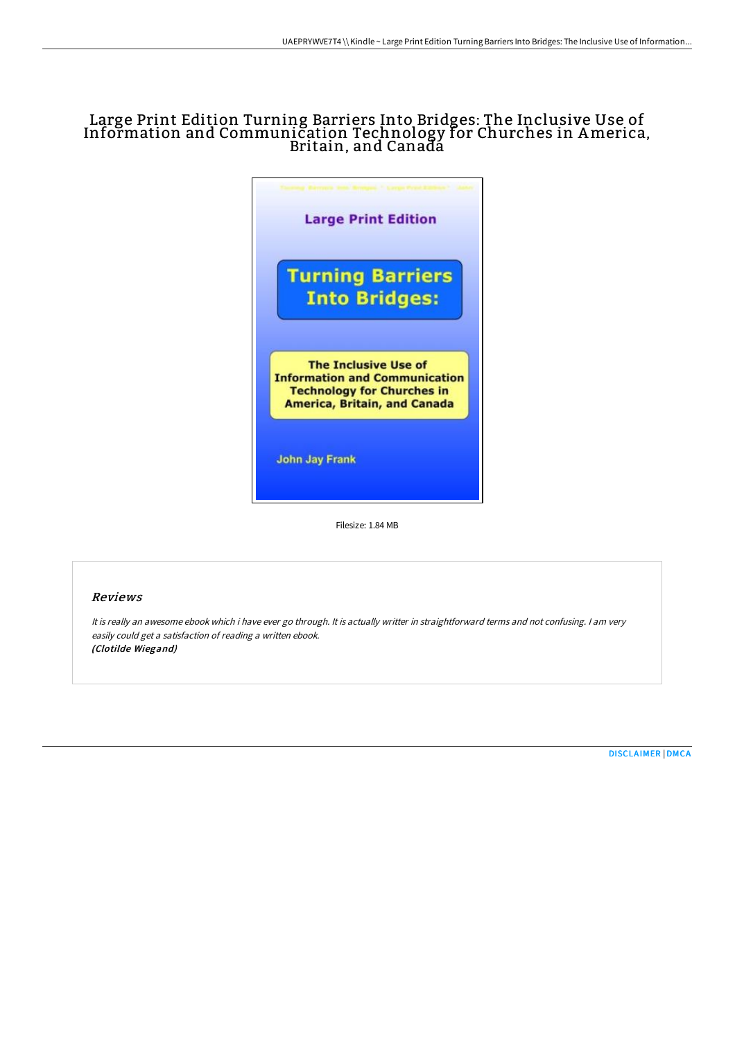# Large Print Edition Turning Barriers Into Bridges: The Inclusive Use of Information and Communication Technology for Churches in America, Britain, and Canadá



Filesize: 1.84 MB

### Reviews

It is really an awesome ebook which i have ever go through. It is actually writter in straightforward terms and not confusing. <sup>I</sup> am very easily could get <sup>a</sup> satisfaction of reading <sup>a</sup> written ebook. (Clotilde Wiegand)

[DISCLAIMER](http://albedo.media/disclaimer.html) | [DMCA](http://albedo.media/dmca.html)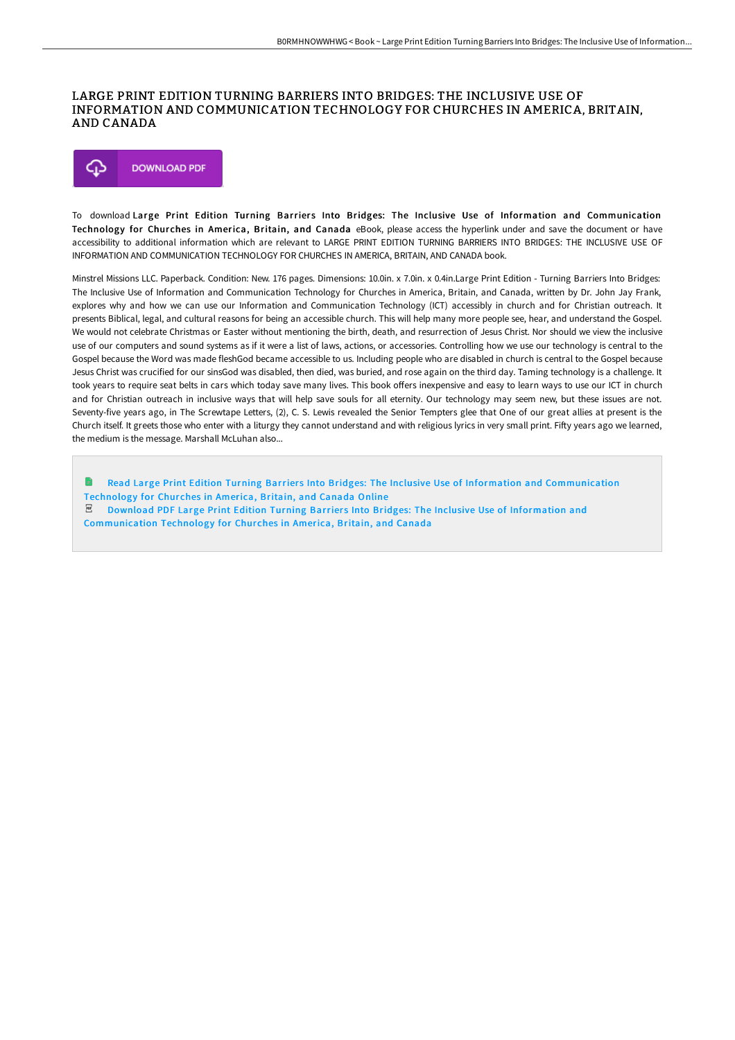#### LARGE PRINT EDITION TURNING BARRIERS INTO BRIDGES: THE INCLUSIVE USE OF INFORMATION AND COMMUNICATION TECHNOLOGY FOR CHURCHES IN AMERICA, BRITAIN, AND CANADA



To download Large Print Edition Turning Barriers Into Bridges: The Inclusive Use of Information and Communication Technology for Churches in America, Britain, and Canada eBook, please access the hyperlink under and save the document or have accessibility to additional information which are relevant to LARGE PRINT EDITION TURNING BARRIERS INTO BRIDGES: THE INCLUSIVE USE OF INFORMATION AND COMMUNICATION TECHNOLOGY FOR CHURCHES IN AMERICA, BRITAIN, AND CANADA book.

Minstrel Missions LLC. Paperback. Condition: New. 176 pages. Dimensions: 10.0in. x 7.0in. x 0.4in.Large Print Edition - Turning Barriers Into Bridges: The Inclusive Use of Information and Communication Technology for Churches in America, Britain, and Canada, written by Dr. John Jay Frank, explores why and how we can use our Information and Communication Technology (ICT) accessibly in church and for Christian outreach. It presents Biblical, legal, and cultural reasons for being an accessible church. This will help many more people see, hear, and understand the Gospel. We would not celebrate Christmas or Easter without mentioning the birth, death, and resurrection of Jesus Christ. Nor should we view the inclusive use of our computers and sound systems as if it were a list of laws, actions, or accessories. Controlling how we use our technology is central to the Gospel because the Word was made fleshGod became accessible to us. Including people who are disabled in church is central to the Gospel because Jesus Christ was crucified for our sinsGod was disabled, then died, was buried, and rose again on the third day. Taming technology is a challenge. It took years to require seat belts in cars which today save many lives. This book offers inexpensive and easy to learn ways to use our ICT in church and for Christian outreach in inclusive ways that will help save souls for all eternity. Our technology may seem new, but these issues are not. Seventy-five years ago, in The Screwtape Letters, (2), C. S. Lewis revealed the Senior Tempters glee that One of our great allies at present is the Church itself. It greets those who enter with a liturgy they cannot understand and with religious lyrics in very small print. Fifty years ago we learned, the medium is the message. Marshall McLuhan also...

Read Large Print Edition Turning Barriers Into Bridges: The Inclusive Use of Information and [Communication](http://albedo.media/large-print-edition-turning-barriers-into-bridge.html) Technology for Churches in America, Britain, and Canada Online  $E$  Download PDF Large Print Edition Turning Barriers Into Bridges: The Inclusive Use of Information and [Communication](http://albedo.media/large-print-edition-turning-barriers-into-bridge.html) Technology for Churches in America, Britain, and Canada